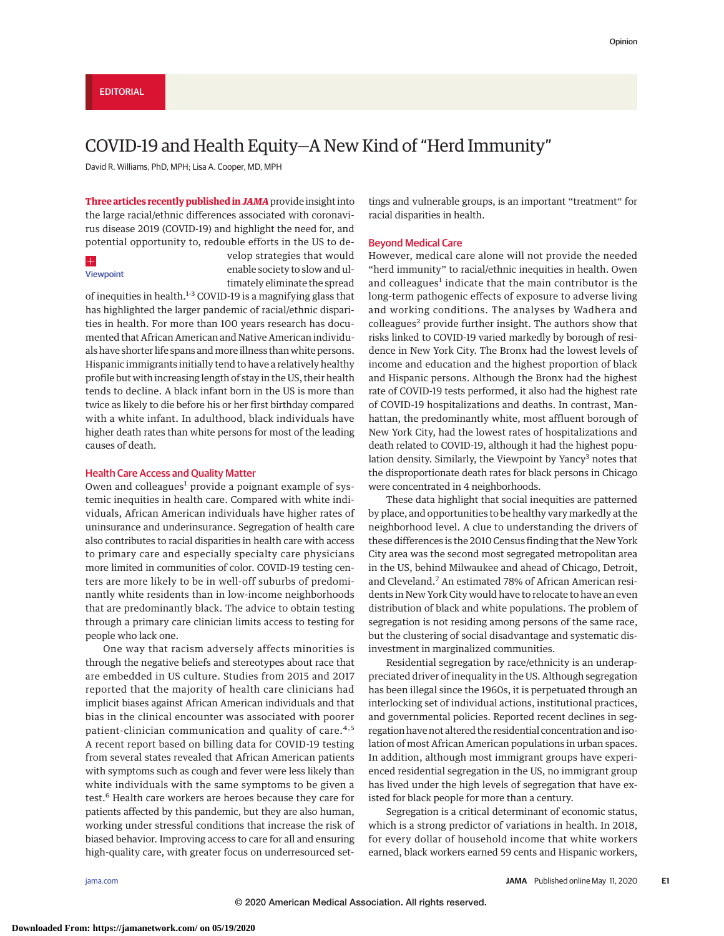# COVID-19 and Health Equity—A New Kind of "Herd Immunity"

David R. Williams, PhD, MPH; Lisa A. Cooper, MD, MPH

**Three articles recently published inJAMA**provide insight into the large racial/ethnic differences associated with coronavirus disease 2019 (COVID-19) and highlight the need for, and potential opportunity to, redouble efforts in the US to de-

## $\pm$

[Viewpoint](https://jamanetwork.com/journals/jama/fullarticle/10.1001/jama.2020.8598?utm_campaign=articlePDF%26utm_medium=articlePDFlink%26utm_source=articlePDF%26utm_content=jama.2020.8051)

velop strategies that would enable society to slow and ultimately eliminate the spread

of inequities in health.<sup>1-3</sup> COVID-19 is a magnifying glass that has highlighted the larger pandemic of racial/ethnic disparities in health. For more than 100 years research has documented that African American and Native American individuals have shorter life spans andmore illness than white persons. Hispanic immigrants initially tend to have a relatively healthy profile but with increasing length of stay in the US, their health tends to decline. A black infant born in the US is more than twice as likely to die before his or her first birthday compared with a white infant. In adulthood, black individuals have higher death rates than white persons for most of the leading causes of death.

## Health Care Access and Quality Matter

Owen and colleagues<sup>1</sup> provide a poignant example of systemic inequities in health care. Compared with white individuals, African American individuals have higher rates of uninsurance and underinsurance. Segregation of health care also contributes to racial disparities in health care with access to primary care and especially specialty care physicians more limited in communities of color. COVID-19 testing centers are more likely to be in well-off suburbs of predominantly white residents than in low-income neighborhoods that are predominantly black. The advice to obtain testing through a primary care clinician limits access to testing for people who lack one.

One way that racism adversely affects minorities is through the negative beliefs and stereotypes about race that are embedded in US culture. Studies from 2015 and 2017 reported that the majority of health care clinicians had implicit biases against African American individuals and that bias in the clinical encounter was associated with poorer patient-clinician communication and quality of care.<sup>4,5</sup> A recent report based on billing data for COVID-19 testing from several states revealed that African American patients with symptoms such as cough and fever were less likely than white individuals with the same symptoms to be given a test.<sup>6</sup> Health care workers are heroes because they care for patients affected by this pandemic, but they are also human, working under stressful conditions that increase the risk of biased behavior. Improving access to care for all and ensuring high-quality care, with greater focus on underresourced settings and vulnerable groups, is an important "treatment" for racial disparities in health.

### Beyond Medical Care

However, medical care alone will not provide the needed "herd immunity" to racial/ethnic inequities in health. Owen and colleagues<sup>1</sup> indicate that the main contributor is the long-term pathogenic effects of exposure to adverse living and working conditions. The analyses by Wadhera and colleagues<sup>2</sup> provide further insight. The authors show that risks linked to COVID-19 varied markedly by borough of residence in New York City. The Bronx had the lowest levels of income and education and the highest proportion of black and Hispanic persons. Although the Bronx had the highest rate of COVID-19 tests performed, it also had the highest rate of COVID-19 hospitalizations and deaths. In contrast, Manhattan, the predominantly white, most affluent borough of New York City, had the lowest rates of hospitalizations and death related to COVID-19, although it had the highest population density. Similarly, the Viewpoint by Yancy<sup>3</sup> notes that the disproportionate death rates for black persons in Chicago were concentrated in 4 neighborhoods.

These data highlight that social inequities are patterned by place, and opportunities to be healthy vary markedly at the neighborhood level. A clue to understanding the drivers of these differences is the 2010 Census finding that the New York City area was the second most segregated metropolitan area in the US, behind Milwaukee and ahead of Chicago, Detroit, and Cleveland.<sup>7</sup> An estimated 78% of African American residents in New York City would have to relocate to have an even distribution of black and white populations. The problem of segregation is not residing among persons of the same race, but the clustering of social disadvantage and systematic disinvestment in marginalized communities.

Residential segregation by race/ethnicity is an underappreciated driver of inequality in the US. Although segregation has been illegal since the 1960s, it is perpetuated through an interlocking set of individual actions, institutional practices, and governmental policies. Reported recent declines in segregation have not altered the residential concentration and isolation of most African American populations in urban spaces. In addition, although most immigrant groups have experienced residential segregation in the US, no immigrant group has lived under the high levels of segregation that have existed for black people for more than a century.

Segregation is a critical determinant of economic status, which is a strong predictor of variations in health. In 2018, for every dollar of household income that white workers earned, black workers earned 59 cents and Hispanic workers,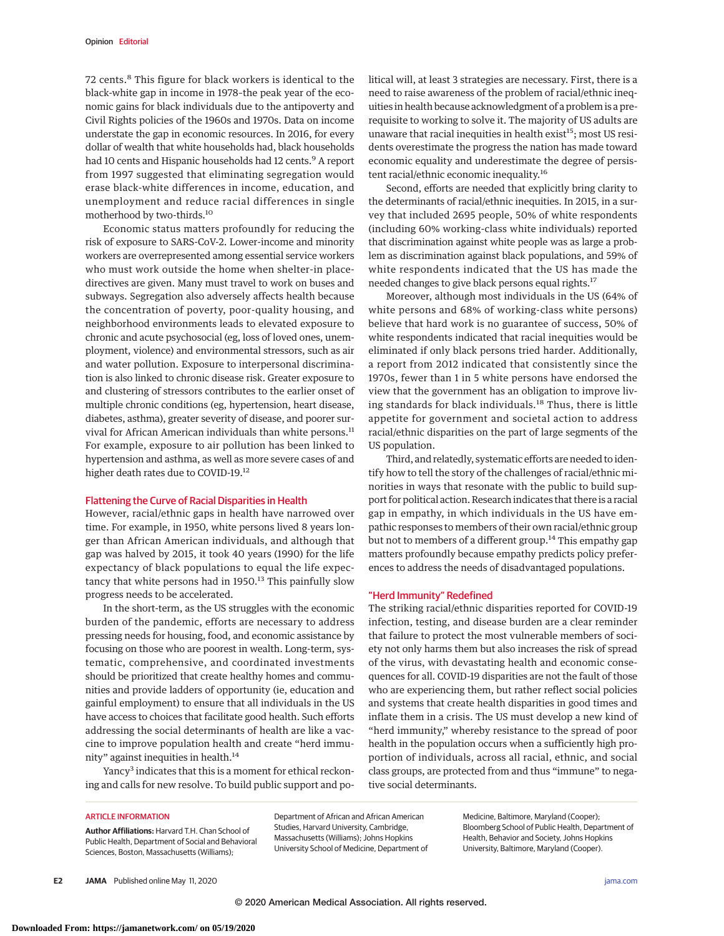72 cents.<sup>8</sup> This figure for black workers is identical to the black-white gap in income in 1978–the peak year of the economic gains for black individuals due to the antipoverty and Civil Rights policies of the 1960s and 1970s. Data on income understate the gap in economic resources. In 2016, for every dollar of wealth that white households had, black households had 10 cents and Hispanic households had 12 cents.<sup>9</sup> A report from 1997 suggested that eliminating segregation would erase black-white differences in income, education, and unemployment and reduce racial differences in single motherhood by two-thirds.10

Economic status matters profoundly for reducing the risk of exposure to SARS-CoV-2. Lower-income and minority workers are overrepresented among essential service workers who must work outside the home when shelter-in placedirectives are given. Many must travel to work on buses and subways. Segregation also adversely affects health because the concentration of poverty, poor-quality housing, and neighborhood environments leads to elevated exposure to chronic and acute psychosocial (eg, loss of loved ones, unemployment, violence) and environmental stressors, such as air and water pollution. Exposure to interpersonal discrimination is also linked to chronic disease risk. Greater exposure to and clustering of stressors contributes to the earlier onset of multiple chronic conditions (eg, hypertension, heart disease, diabetes, asthma), greater severity of disease, and poorer survival for African American individuals than white persons.<sup>11</sup> For example, exposure to air pollution has been linked to hypertension and asthma, as well as more severe cases of and higher death rates due to COVID-19.12

## Flattening the Curve of Racial Disparities in Health

However, racial/ethnic gaps in health have narrowed over time. For example, in 1950, white persons lived 8 years longer than African American individuals, and although that gap was halved by 2015, it took 40 years (1990) for the life expectancy of black populations to equal the life expectancy that white persons had in  $1950$ .<sup>13</sup> This painfully slow progress needs to be accelerated.

In the short-term, as the US struggles with the economic burden of the pandemic, efforts are necessary to address pressing needs for housing, food, and economic assistance by focusing on those who are poorest in wealth. Long-term, systematic, comprehensive, and coordinated investments should be prioritized that create healthy homes and communities and provide ladders of opportunity (ie, education and gainful employment) to ensure that all individuals in the US have access to choices that facilitate good health. Such efforts addressing the social determinants of health are like a vaccine to improve population health and create "herd immunity" against inequities in health.<sup>14</sup>

Yancy<sup>3</sup> indicates that this is a moment for ethical reckoning and calls for new resolve. To build public support and political will, at least 3 strategies are necessary. First, there is a need to raise awareness of the problem of racial/ethnic inequities in health because acknowledgment of a problem is a prerequisite to working to solve it. The majority of US adults are unaware that racial inequities in health exist $15$ ; most US residents overestimate the progress the nation has made toward economic equality and underestimate the degree of persistent racial/ethnic economic inequality.<sup>16</sup>

Second, efforts are needed that explicitly bring clarity to the determinants of racial/ethnic inequities. In 2015, in a survey that included 2695 people, 50% of white respondents (including 60% working-class white individuals) reported that discrimination against white people was as large a problem as discrimination against black populations, and 59% of white respondents indicated that the US has made the needed changes to give black persons equal rights.17

Moreover, although most individuals in the US (64% of white persons and 68% of working-class white persons) believe that hard work is no guarantee of success, 50% of white respondents indicated that racial inequities would be eliminated if only black persons tried harder. Additionally, a report from 2012 indicated that consistently since the 1970s, fewer than 1 in 5 white persons have endorsed the view that the government has an obligation to improve living standards for black individuals.<sup>18</sup> Thus, there is little appetite for government and societal action to address racial/ethnic disparities on the part of large segments of the US population.

Third, and relatedly, systematic efforts are needed to identify how to tell the story of the challenges of racial/ethnic minorities in ways that resonate with the public to build support for political action. Research indicates that there is a racial gap in empathy, in which individuals in the US have empathic responses to members of their own racial/ethnic group but not to members of a different group.<sup>14</sup> This empathy gap matters profoundly because empathy predicts policy preferences to address the needs of disadvantaged populations.

## "Herd Immunity" Redefined

The striking racial/ethnic disparities reported for COVID-19 infection, testing, and disease burden are a clear reminder that failure to protect the most vulnerable members of society not only harms them but also increases the risk of spread of the virus, with devastating health and economic consequences for all. COVID-19 disparities are not the fault of those who are experiencing them, but rather reflect social policies and systems that create health disparities in good times and inflate them in a crisis. The US must develop a new kind of "herd immunity," whereby resistance to the spread of poor health in the population occurs when a sufficiently high proportion of individuals, across all racial, ethnic, and social class groups, are protected from and thus "immune" to negative social determinants.

#### ARTICLE INFORMATION

**Author Affiliations:** Harvard T.H. Chan School of Public Health, Department of Social and Behavioral Sciences, Boston, Massachusetts (Williams);

Department of African and African American Studies, Harvard University, Cambridge, Massachusetts (Williams); Johns Hopkins University School of Medicine, Department of

Medicine, Baltimore, Maryland (Cooper); Bloomberg School of Public Health, Department of Health, Behavior and Society, Johns Hopkins University, Baltimore, Maryland (Cooper).